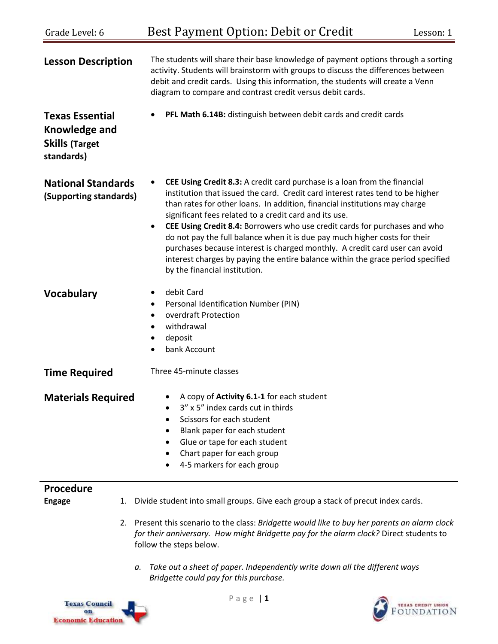| Grade Level: 6                                                                 | Best Payment Option: Debit or Credit<br>Lesson: 1                                                                                                                                                                                                                                                                                                                                                                                                                                                                                                                                                                                                                               |  |
|--------------------------------------------------------------------------------|---------------------------------------------------------------------------------------------------------------------------------------------------------------------------------------------------------------------------------------------------------------------------------------------------------------------------------------------------------------------------------------------------------------------------------------------------------------------------------------------------------------------------------------------------------------------------------------------------------------------------------------------------------------------------------|--|
| <b>Lesson Description</b>                                                      | The students will share their base knowledge of payment options through a sorting<br>activity. Students will brainstorm with groups to discuss the differences between<br>debit and credit cards. Using this information, the students will create a Venn<br>diagram to compare and contrast credit versus debit cards.                                                                                                                                                                                                                                                                                                                                                         |  |
| <b>Texas Essential</b><br>Knowledge and<br><b>Skills (Target</b><br>standards) | PFL Math 6.14B: distinguish between debit cards and credit cards<br>$\bullet$                                                                                                                                                                                                                                                                                                                                                                                                                                                                                                                                                                                                   |  |
| <b>National Standards</b><br>(Supporting standards)                            | CEE Using Credit 8.3: A credit card purchase is a loan from the financial<br>institution that issued the card. Credit card interest rates tend to be higher<br>than rates for other loans. In addition, financial institutions may charge<br>significant fees related to a credit card and its use.<br>CEE Using Credit 8.4: Borrowers who use credit cards for purchases and who<br>$\bullet$<br>do not pay the full balance when it is due pay much higher costs for their<br>purchases because interest is charged monthly. A credit card user can avoid<br>interest charges by paying the entire balance within the grace period specified<br>by the financial institution. |  |
| <b>Vocabulary</b>                                                              | debit Card<br>٠<br>Personal Identification Number (PIN)<br>٠<br>overdraft Protection<br>$\bullet$<br>withdrawal<br>٠<br>deposit<br>٠<br>bank Account<br>$\bullet$                                                                                                                                                                                                                                                                                                                                                                                                                                                                                                               |  |
| <b>Time Required</b>                                                           | Three 45-minute classes                                                                                                                                                                                                                                                                                                                                                                                                                                                                                                                                                                                                                                                         |  |
| <b>Materials Required</b>                                                      | A copy of Activity 6.1-1 for each student<br>3" x 5" index cards cut in thirds<br>Scissors for each student<br>$\bullet$<br>Blank paper for each student<br>Glue or tape for each student<br>Chart paper for each group<br>4-5 markers for each group                                                                                                                                                                                                                                                                                                                                                                                                                           |  |
| <b>Procedure</b>                                                               |                                                                                                                                                                                                                                                                                                                                                                                                                                                                                                                                                                                                                                                                                 |  |
| <b>Engage</b><br>1.                                                            | Divide student into small groups. Give each group a stack of precut index cards.                                                                                                                                                                                                                                                                                                                                                                                                                                                                                                                                                                                                |  |
|                                                                                | 2. Present this scenario to the class: Bridgette would like to buy her parents an alarm clock<br>for their anniversary. How might Bridgette pay for the alarm clock? Direct students to<br>follow the steps below.                                                                                                                                                                                                                                                                                                                                                                                                                                                              |  |
| а.                                                                             | Take out a sheet of paper. Independently write down all the different ways<br>Bridgette could pay for this purchase.                                                                                                                                                                                                                                                                                                                                                                                                                                                                                                                                                            |  |
|                                                                                | Page   1                                                                                                                                                                                                                                                                                                                                                                                                                                                                                                                                                                                                                                                                        |  |



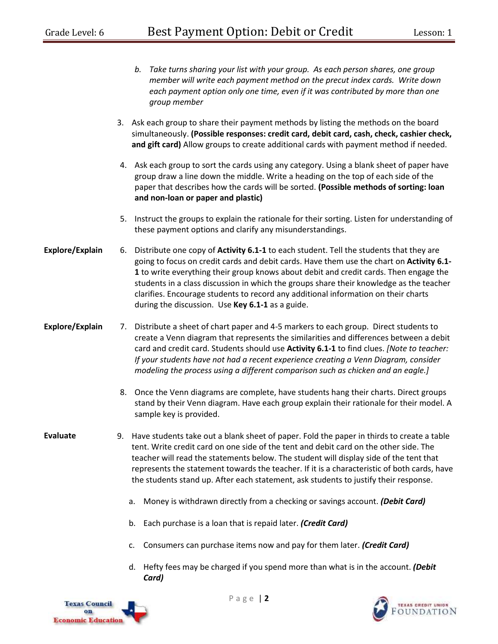|                 |    | Take turns sharing your list with your group. As each person shares, one group<br>b.<br>member will write each payment method on the precut index cards. Write down<br>each payment option only one time, even if it was contributed by more than one<br>group member                                                                                                                                                                                                                                            |
|-----------------|----|------------------------------------------------------------------------------------------------------------------------------------------------------------------------------------------------------------------------------------------------------------------------------------------------------------------------------------------------------------------------------------------------------------------------------------------------------------------------------------------------------------------|
|                 |    | 3. Ask each group to share their payment methods by listing the methods on the board<br>simultaneously. (Possible responses: credit card, debit card, cash, check, cashier check,<br>and gift card) Allow groups to create additional cards with payment method if needed.                                                                                                                                                                                                                                       |
|                 |    | 4. Ask each group to sort the cards using any category. Using a blank sheet of paper have<br>group draw a line down the middle. Write a heading on the top of each side of the<br>paper that describes how the cards will be sorted. (Possible methods of sorting: loan<br>and non-loan or paper and plastic)                                                                                                                                                                                                    |
|                 | 5. | Instruct the groups to explain the rationale for their sorting. Listen for understanding of<br>these payment options and clarify any misunderstandings.                                                                                                                                                                                                                                                                                                                                                          |
| Explore/Explain | 6. | Distribute one copy of Activity 6.1-1 to each student. Tell the students that they are<br>going to focus on credit cards and debit cards. Have them use the chart on Activity 6.1-<br>1 to write everything their group knows about debit and credit cards. Then engage the<br>students in a class discussion in which the groups share their knowledge as the teacher<br>clarifies. Encourage students to record any additional information on their charts<br>during the discussion. Use Key 6.1-1 as a guide. |
| Explore/Explain |    | 7. Distribute a sheet of chart paper and 4-5 markers to each group. Direct students to<br>create a Venn diagram that represents the similarities and differences between a debit<br>card and credit card. Students should use Activity 6.1-1 to find clues. [Note to teacher:<br>If your students have not had a recent experience creating a Venn Diagram, consider<br>modeling the process using a different comparison such as chicken and an eagle.]                                                         |
|                 | 8. | Once the Venn diagrams are complete, have students hang their charts. Direct groups<br>stand by their Venn diagram. Have each group explain their rationale for their model. A<br>sample key is provided.                                                                                                                                                                                                                                                                                                        |
| <b>Evaluate</b> |    | 9. Have students take out a blank sheet of paper. Fold the paper in thirds to create a table<br>tent. Write credit card on one side of the tent and debit card on the other side. The<br>teacher will read the statements below. The student will display side of the tent that<br>represents the statement towards the teacher. If it is a characteristic of both cards, have<br>the students stand up. After each statement, ask students to justify their response.                                           |
|                 |    | Money is withdrawn directly from a checking or savings account. (Debit Card)<br>а.                                                                                                                                                                                                                                                                                                                                                                                                                               |

- b. Each purchase is a loan that is repaid later. *(Credit Card)*
- c. Consumers can purchase items now and pay for them later. *(Credit Card)*
- d. Hefty fees may be charged if you spend more than what is in the account. *(Debit Card)*



P a g e | **2**

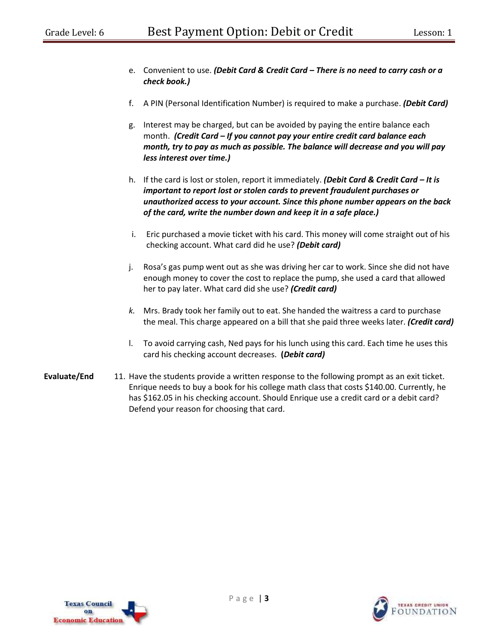- e. Convenient to use. *(Debit Card & Credit Card – There is no need to carry cash or a check book.)*
- f. A PIN (Personal Identification Number) is required to make a purchase. *(Debit Card)*
- g. Interest may be charged, but can be avoided by paying the entire balance each month. *(Credit Card – If you cannot pay your entire credit card balance each month, try to pay as much as possible. The balance will decrease and you will pay less interest over time.)*
- h. If the card is lost or stolen, report it immediately. *(Debit Card & Credit Card – It is important to report lost or stolen cards to prevent fraudulent purchases or unauthorized access to your account. Since this phone number appears on the back of the card, write the number down and keep it in a safe place.)*
- i. Eric purchased a movie ticket with his card. This money will come straight out of his checking account. What card did he use? *(Debit card)*
- j. Rosa's gas pump went out as she was driving her car to work. Since she did not have enough money to cover the cost to replace the pump, she used a card that allowed her to pay later. What card did she use? *(Credit card)*
- *k.* Mrs. Brady took her family out to eat. She handed the waitress a card to purchase the meal. This charge appeared on a bill that she paid three weeks later. *(Credit card)*
- l. To avoid carrying cash, Ned pays for his lunch using this card. Each time he uses this card his checking account decreases. **(***Debit card)*
- **Evaluate/End** 11. Have the students provide a written response to the following prompt as an exit ticket. Enrique needs to buy a book for his college math class that costs \$140.00. Currently, he has \$162.05 in his checking account. Should Enrique use a credit card or a debit card? Defend your reason for choosing that card.



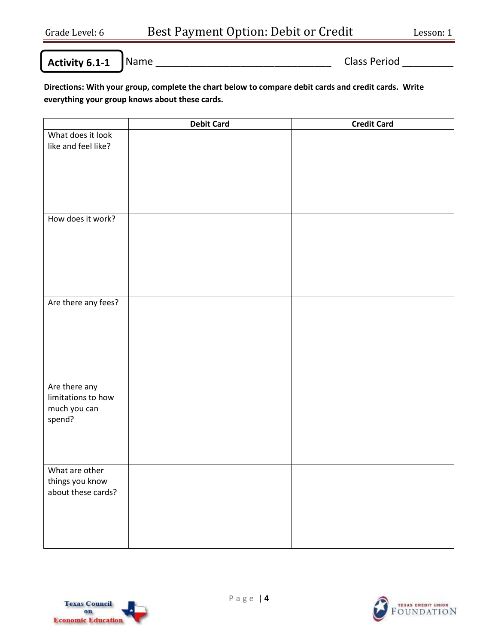**Activity 6.1-1**

Name \_\_\_\_\_\_\_\_\_\_\_\_\_\_\_\_\_\_\_\_\_\_\_\_\_\_\_\_\_\_\_ Class Period \_\_\_\_\_\_\_\_\_

**Directions: With your group, complete the chart below to compare debit cards and credit cards. Write everything your group knows about these cards.** 

|                     | <b>Debit Card</b> | <b>Credit Card</b> |
|---------------------|-------------------|--------------------|
| What does it look   |                   |                    |
| like and feel like? |                   |                    |
|                     |                   |                    |
|                     |                   |                    |
|                     |                   |                    |
|                     |                   |                    |
|                     |                   |                    |
| How does it work?   |                   |                    |
|                     |                   |                    |
|                     |                   |                    |
|                     |                   |                    |
|                     |                   |                    |
|                     |                   |                    |
|                     |                   |                    |
|                     |                   |                    |
| Are there any fees? |                   |                    |
|                     |                   |                    |
|                     |                   |                    |
|                     |                   |                    |
|                     |                   |                    |
|                     |                   |                    |
|                     |                   |                    |
| Are there any       |                   |                    |
| limitations to how  |                   |                    |
| much you can        |                   |                    |
| spend?              |                   |                    |
|                     |                   |                    |
|                     |                   |                    |
|                     |                   |                    |
| What are other      |                   |                    |
| things you know     |                   |                    |
| about these cards?  |                   |                    |
|                     |                   |                    |
|                     |                   |                    |
|                     |                   |                    |
|                     |                   |                    |
|                     |                   |                    |



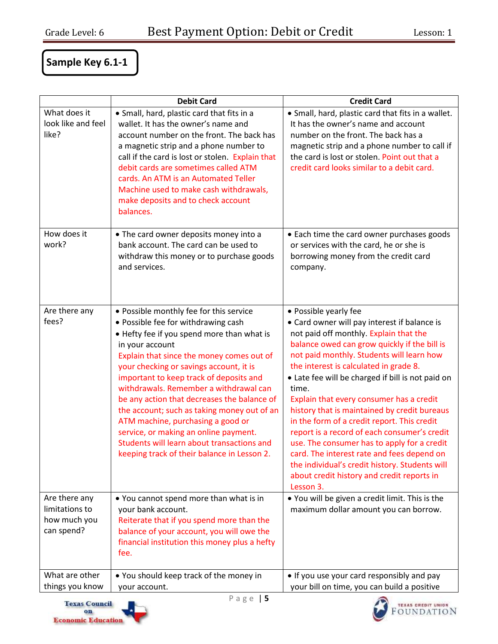## **Sample Key 6.1-1**

|                    | <b>Debit Card</b>                                                                          | <b>Credit Card</b>                                                                           |
|--------------------|--------------------------------------------------------------------------------------------|----------------------------------------------------------------------------------------------|
| What does it       | • Small, hard, plastic card that fits in a                                                 | • Small, hard, plastic card that fits in a wallet.                                           |
| look like and feel | wallet. It has the owner's name and                                                        | It has the owner's name and account                                                          |
| like?              | account number on the front. The back has                                                  | number on the front. The back has a                                                          |
|                    | a magnetic strip and a phone number to<br>call if the card is lost or stolen. Explain that | magnetic strip and a phone number to call if<br>the card is lost or stolen. Point out that a |
|                    | debit cards are sometimes called ATM                                                       | credit card looks similar to a debit card.                                                   |
|                    | cards. An ATM is an Automated Teller                                                       |                                                                                              |
|                    | Machine used to make cash withdrawals,                                                     |                                                                                              |
|                    | make deposits and to check account                                                         |                                                                                              |
|                    | balances.                                                                                  |                                                                                              |
|                    |                                                                                            |                                                                                              |
| How does it        | • The card owner deposits money into a                                                     | • Each time the card owner purchases goods                                                   |
| work?              | bank account. The card can be used to                                                      | or services with the card, he or she is                                                      |
|                    | withdraw this money or to purchase goods<br>and services.                                  | borrowing money from the credit card<br>company.                                             |
|                    |                                                                                            |                                                                                              |
|                    |                                                                                            |                                                                                              |
|                    |                                                                                            |                                                                                              |
| Are there any      | • Possible monthly fee for this service                                                    | • Possible yearly fee                                                                        |
| fees?              | • Possible fee for withdrawing cash                                                        | • Card owner will pay interest if balance is                                                 |
|                    | • Hefty fee if you spend more than what is                                                 | not paid off monthly. Explain that the                                                       |
|                    | in your account                                                                            | balance owed can grow quickly if the bill is                                                 |
|                    | Explain that since the money comes out of                                                  | not paid monthly. Students will learn how<br>the interest is calculated in grade 8.          |
|                    | your checking or savings account, it is<br>important to keep track of deposits and         | • Late fee will be charged if bill is not paid on                                            |
|                    | withdrawals. Remember a withdrawal can                                                     | time.                                                                                        |
|                    | be any action that decreases the balance of                                                | Explain that every consumer has a credit                                                     |
|                    | the account; such as taking money out of an                                                | history that is maintained by credit bureaus                                                 |
|                    | ATM machine, purchasing a good or                                                          | in the form of a credit report. This credit                                                  |
|                    | service, or making an online payment.                                                      | report is a record of each consumer's credit                                                 |
|                    | Students will learn about transactions and                                                 | use. The consumer has to apply for a credit                                                  |
|                    | keeping track of their balance in Lesson 2.                                                | card. The interest rate and fees depend on                                                   |
|                    |                                                                                            | the individual's credit history. Students will                                               |
|                    |                                                                                            | about credit history and credit reports in<br>Lesson 3.                                      |
| Are there any      | . You cannot spend more than what is in                                                    | . You will be given a credit limit. This is the                                              |
| limitations to     | your bank account.                                                                         | maximum dollar amount you can borrow.                                                        |
| how much you       | Reiterate that if you spend more than the                                                  |                                                                                              |
| can spend?         | balance of your account, you will owe the                                                  |                                                                                              |
|                    | financial institution this money plus a hefty                                              |                                                                                              |
|                    | fee.                                                                                       |                                                                                              |
| What are other     |                                                                                            |                                                                                              |
| things you know    | • You should keep track of the money in<br>your account.                                   | • If you use your card responsibly and pay<br>your bill on time, you can build a positive    |
|                    |                                                                                            |                                                                                              |



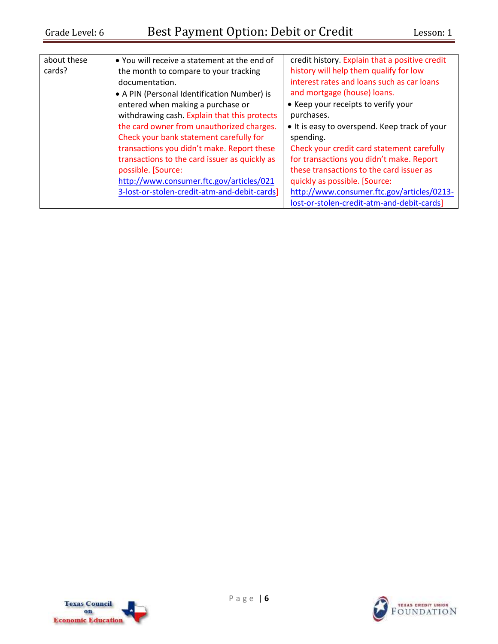| about these | • You will receive a statement at the end of  | credit history. Explain that a positive credit |
|-------------|-----------------------------------------------|------------------------------------------------|
| cards?      | the month to compare to your tracking         | history will help them qualify for low         |
|             | documentation.                                | interest rates and loans such as car loans     |
|             | • A PIN (Personal Identification Number) is   | and mortgage (house) loans.                    |
|             | entered when making a purchase or             | • Keep your receipts to verify your            |
|             | withdrawing cash. Explain that this protects  | purchases.                                     |
|             | the card owner from unauthorized charges.     | • It is easy to overspend. Keep track of your  |
|             | Check your bank statement carefully for       | spending.                                      |
|             | transactions you didn't make. Report these    | Check your credit card statement carefully     |
|             | transactions to the card issuer as quickly as | for transactions you didn't make. Report       |
|             | possible. [Source:                            | these transactions to the card issuer as       |
|             | http://www.consumer.ftc.gov/articles/021      | quickly as possible. [Source:                  |
|             | 3-lost-or-stolen-credit-atm-and-debit-cards]  | http://www.consumer.ftc.gov/articles/0213-     |
|             |                                               | lost-or-stolen-credit-atm-and-debit-cards]     |